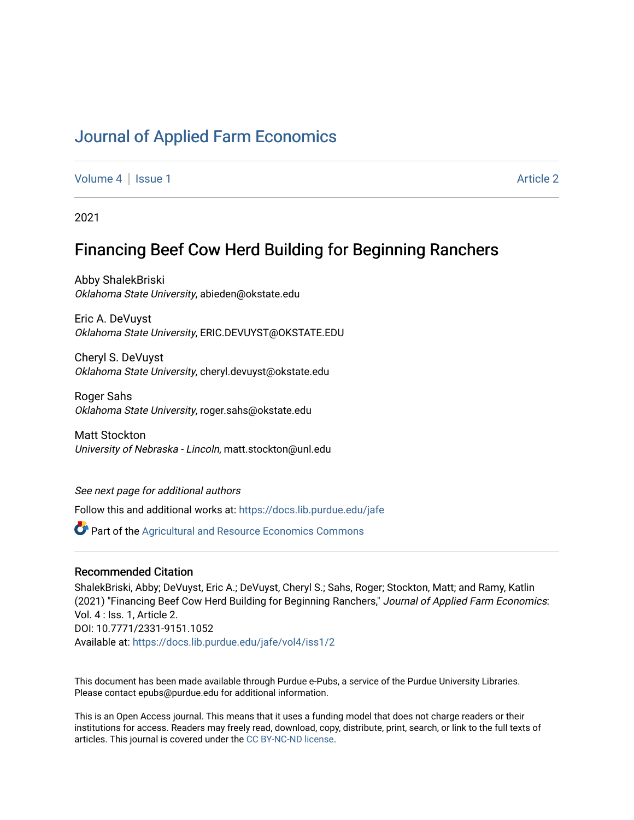# [Journal of Applied Farm Economics](https://docs.lib.purdue.edu/jafe)

[Volume 4](https://docs.lib.purdue.edu/jafe/vol4) | [Issue 1](https://docs.lib.purdue.edu/jafe/vol4/iss1) [Article 2](https://docs.lib.purdue.edu/jafe/vol4/iss1/2) | Article 2 | Article 2 | Article 2 | Article 2 | Article 2 | Article 2 | Article 2

2021

# Financing Beef Cow Herd Building for Beginning Ranchers

Abby ShalekBriski Oklahoma State University, abieden@okstate.edu

Eric A. DeVuyst Oklahoma State University, ERIC.DEVUYST@OKSTATE.EDU

Cheryl S. DeVuyst Oklahoma State University, cheryl.devuyst@okstate.edu

Roger Sahs Oklahoma State University, roger.sahs@okstate.edu

Matt Stockton University of Nebraska - Lincoln, matt.stockton@unl.edu

See next page for additional authors

Follow this and additional works at: [https://docs.lib.purdue.edu/jafe](https://docs.lib.purdue.edu/jafe?utm_source=docs.lib.purdue.edu%2Fjafe%2Fvol4%2Fiss1%2F2&utm_medium=PDF&utm_campaign=PDFCoverPages)

**P** Part of the Agricultural and Resource Economics Commons

# Recommended Citation

ShalekBriski, Abby; DeVuyst, Eric A.; DeVuyst, Cheryl S.; Sahs, Roger; Stockton, Matt; and Ramy, Katlin (2021) "Financing Beef Cow Herd Building for Beginning Ranchers," Journal of Applied Farm Economics: Vol. 4 : Iss. 1, Article 2. DOI: 10.7771/2331-9151.1052 Available at: [https://docs.lib.purdue.edu/jafe/vol4/iss1/2](https://docs.lib.purdue.edu/jafe/vol4/iss1/2?utm_source=docs.lib.purdue.edu%2Fjafe%2Fvol4%2Fiss1%2F2&utm_medium=PDF&utm_campaign=PDFCoverPages)

This document has been made available through Purdue e-Pubs, a service of the Purdue University Libraries. Please contact epubs@purdue.edu for additional information.

This is an Open Access journal. This means that it uses a funding model that does not charge readers or their institutions for access. Readers may freely read, download, copy, distribute, print, search, or link to the full texts of articles. This journal is covered under the [CC BY-NC-ND license](https://creativecommons.org/licenses/by-nc-nd/4.0/).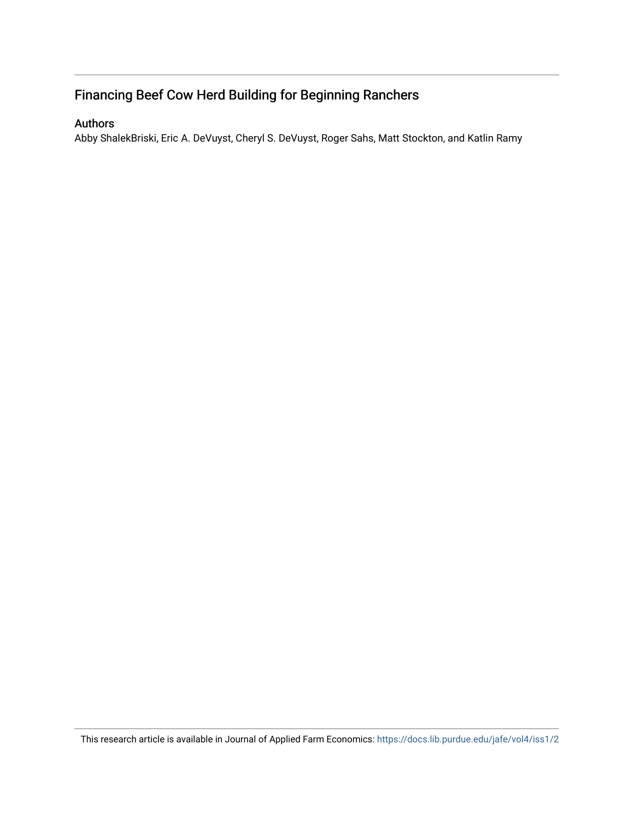# Financing Beef Cow Herd Building for Beginning Ranchers

# Authors

Abby ShalekBriski, Eric A. DeVuyst, Cheryl S. DeVuyst, Roger Sahs, Matt Stockton, and Katlin Ramy

This research article is available in Journal of Applied Farm Economics:<https://docs.lib.purdue.edu/jafe/vol4/iss1/2>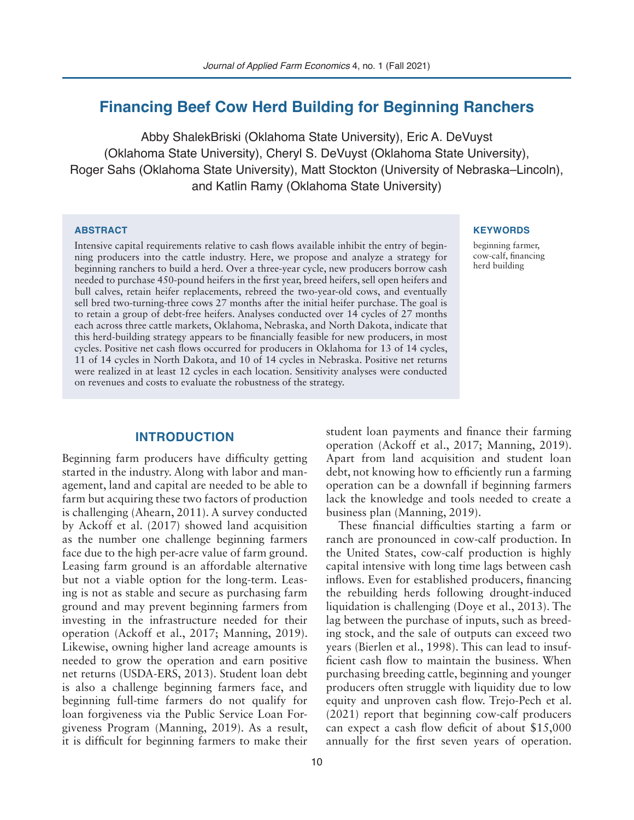# **Financing Beef Cow Herd Building for Beginning Ranchers**

Abby ShalekBriski (Oklahoma State University), Eric A. DeVuyst (Oklahoma State University), Cheryl S. DeVuyst (Oklahoma State University), Roger Sahs (Oklahoma State University), Matt Stockton (University of Nebraska–Lincoln), and Katlin Ramy (Oklahoma State University)

#### **ABSTRACT**

Intensive capital requirements relative to cash flows available inhibit the entry of beginning producers into the cattle industry. Here, we propose and analyze a strategy for beginning ranchers to build a herd. Over a three-year cycle, new producers borrow cash needed to purchase 450-pound heifers in the first year, breed heifers, sell open heifers and bull calves, retain heifer replacements, rebreed the two-year-old cows, and eventually sell bred two-turning-three cows 27 months after the initial heifer purchase. The goal is to retain a group of debt-free heifers. Analyses conducted over 14 cycles of 27 months each across three cattle markets, Oklahoma, Nebraska, and North Dakota, indicate that this herd-building strategy appears to be financially feasible for new producers, in most cycles. Positive net cash flows occurred for producers in Oklahoma for 13 of 14 cycles, 11 of 14 cycles in North Dakota, and 10 of 14 cycles in Nebraska. Positive net returns were realized in at least 12 cycles in each location. Sensitivity analyses were conducted on revenues and costs to evaluate the robustness of the strategy.

## **INTRODUCTION**

Beginning farm producers have difficulty getting started in the industry. Along with labor and management, land and capital are needed to be able to farm but acquiring these two factors of production is challenging (Ahearn, 2011). A survey conducted by Ackoff et al. (2017) showed land acquisition as the number one challenge beginning farmers face due to the high per-acre value of farm ground. Leasing farm ground is an affordable alternative but not a viable option for the long-term. Leasing is not as stable and secure as purchasing farm ground and may prevent beginning farmers from investing in the infrastructure needed for their operation (Ackoff et al., 2017; Manning, 2019). Likewise, owning higher land acreage amounts is needed to grow the operation and earn positive net returns (USDA-ERS, 2013). Student loan debt is also a challenge beginning farmers face, and beginning full-time farmers do not qualify for loan forgiveness via the Public Service Loan Forgiveness Program (Manning, 2019). As a result, it is difficult for beginning farmers to make their

#### **KEYWORDS**

beginning farmer, cow-calf, financing herd building

student loan payments and finance their farming operation (Ackoff et al., 2017; Manning, 2019). Apart from land acquisition and student loan debt, not knowing how to efficiently run a farming operation can be a downfall if beginning farmers lack the knowledge and tools needed to create a business plan (Manning, 2019).

These financial difficulties starting a farm or ranch are pronounced in cow-calf production. In the United States, cow-calf production is highly capital intensive with long time lags between cash inflows. Even for established producers, financing the rebuilding herds following drought-induced liquidation is challenging (Doye et al., 2013). The lag between the purchase of inputs, such as breeding stock, and the sale of outputs can exceed two years (Bierlen et al., 1998). This can lead to insufficient cash flow to maintain the business. When purchasing breeding cattle, beginning and younger producers often struggle with liquidity due to low equity and unproven cash flow. Trejo-Pech et al. (2021) report that beginning cow-calf producers can expect a cash flow deficit of about \$15,000 annually for the first seven years of operation.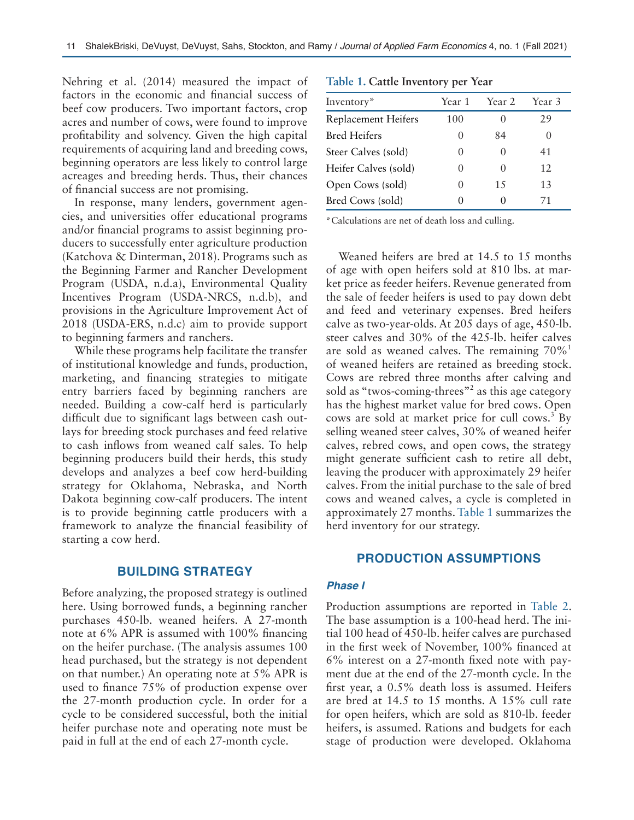Nehring et al. (2014) measured the impact of factors in the economic and financial success of beef cow producers. Two important factors, crop acres and number of cows, were found to improve profitability and solvency. Given the high capital requirements of acquiring land and breeding cows, beginning operators are less likely to control large acreages and breeding herds. Thus, their chances of financial success are not promising.

In response, many lenders, government agencies, and universities offer educational programs and/or financial programs to assist beginning producers to successfully enter agriculture production (Katchova & Dinterman, 2018). Programs such as the Beginning Farmer and Rancher Development Program (USDA, n.d.a), Environmental Quality Incentives Program (USDA-NRCS, n.d.b), and provisions in the Agriculture Improvement Act of 2018 (USDA-ERS, n.d.c) aim to provide support to beginning farmers and ranchers.

While these programs help facilitate the transfer of institutional knowledge and funds, production, marketing, and financing strategies to mitigate entry barriers faced by beginning ranchers are needed. Building a cow-calf herd is particularly difficult due to significant lags between cash outlays for breeding stock purchases and feed relative to cash inflows from weaned calf sales. To help beginning producers build their herds, this study develops and analyzes a beef cow herd-building strategy for Oklahoma, Nebraska, and North Dakota beginning cow-calf producers. The intent is to provide beginning cattle producers with a framework to analyze the financial feasibility of starting a cow herd.

### **BUILDING STRATEGY**

Before analyzing, the proposed strategy is outlined here. Using borrowed funds, a beginning rancher purchases 450-lb. weaned heifers. A 27-month note at 6% APR is assumed with 100% financing on the heifer purchase. (The analysis assumes 100 head purchased, but the strategy is not dependent on that number.) An operating note at 5% APR is used to finance 75% of production expense over the 27-month production cycle. In order for a cycle to be considered successful, both the initial heifer purchase note and operating note must be paid in full at the end of each 27-month cycle.

| Inventory*           | Year 1 | Year 2 | Year 3 |  |
|----------------------|--------|--------|--------|--|
| Replacement Heifers  | 100    |        | 29     |  |
| <b>Bred Heifers</b>  |        | 84     |        |  |
| Steer Calves (sold)  |        |        | 41     |  |
| Heifer Calves (sold) |        |        | 12     |  |
| Open Cows (sold)     |        | 15     | 13     |  |
| Bred Cows (sold)     |        |        | 71     |  |

\*Calculations are net of death loss and culling.

Weaned heifers are bred at 14.5 to 15 months of age with open heifers sold at 810 lbs. at market price as feeder heifers. Revenue generated from the sale of feeder heifers is used to pay down debt and feed and veterinary expenses. Bred heifers calve as two-year-olds. At 205 days of age, 450-lb. steer calves and 30% of the 425-lb. heifer calves are sold as weaned calves. The remaining  $70\%$ <sup>1</sup> of weaned heifers are retained as breeding stock. Cows are rebred three months after calving and sold as "twos-coming-threes"<sup>2</sup> as this age category has the highest market value for bred cows. Open cows are sold at market price for cull cows.<sup>3</sup> By selling weaned steer calves, 30% of weaned heifer calves, rebred cows, and open cows, the strategy might generate sufficient cash to retire all debt, leaving the producer with approximately 29 heifer calves. From the initial purchase to the sale of bred cows and weaned calves, a cycle is completed in approximately 27 months. Table 1 summarizes the herd inventory for our strategy.

# **PRODUCTION ASSUMPTIONS**

#### *Phase I*

Production assumptions are reported in Table 2. The base assumption is a 100-head herd. The initial 100 head of 450-lb. heifer calves are purchased in the first week of November, 100% financed at 6% interest on a 27-month fixed note with payment due at the end of the 27-month cycle. In the first year, a 0.5% death loss is assumed. Heifers are bred at 14.5 to 15 months. A 15% cull rate for open heifers, which are sold as 810-lb. feeder heifers, is assumed. Rations and budgets for each stage of production were developed. Oklahoma

#### **Table 1. Cattle Inventory per Year**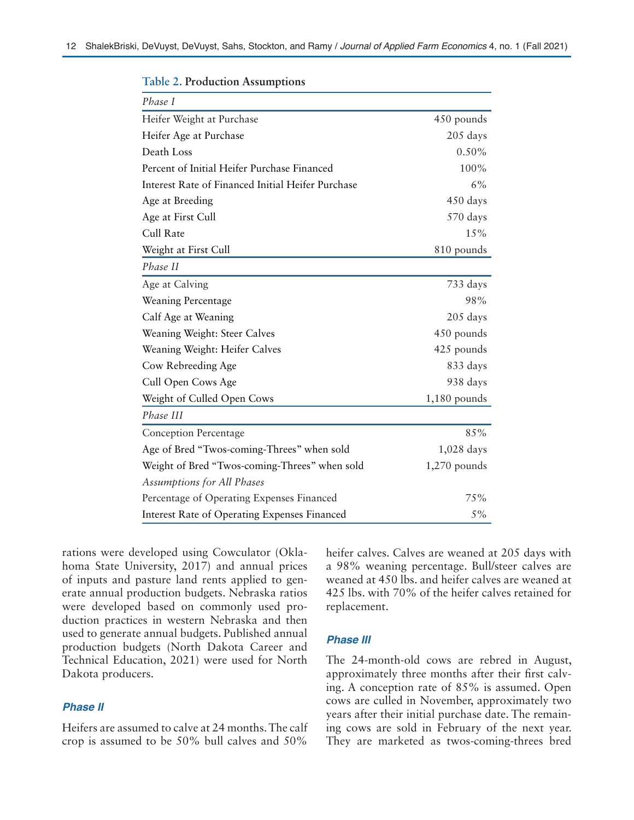| Phase I                                           |                |
|---------------------------------------------------|----------------|
| Heifer Weight at Purchase                         | 450 pounds     |
| Heifer Age at Purchase                            | 205 days       |
| Death Loss                                        | $0.50\%$       |
| Percent of Initial Heifer Purchase Financed       | 100%           |
| Interest Rate of Financed Initial Heifer Purchase | 6%             |
| Age at Breeding                                   | 450 days       |
| Age at First Cull                                 | 570 days       |
| Cull Rate                                         | 15%            |
| Weight at First Cull                              | 810 pounds     |
| Phase II                                          |                |
| Age at Calving                                    | 733 days       |
| Weaning Percentage                                | 98%            |
| Calf Age at Weaning                               | 205 days       |
| Weaning Weight: Steer Calves                      | 450 pounds     |
| Weaning Weight: Heifer Calves                     | 425 pounds     |
| Cow Rebreeding Age                                | 833 days       |
| Cull Open Cows Age                                | 938 days       |
| Weight of Culled Open Cows                        | $1,180$ pounds |
| Phase III                                         |                |
| <b>Conception Percentage</b>                      | 85%            |
| Age of Bred "Twos-coming-Threes" when sold        | 1,028 days     |
| Weight of Bred "Twos-coming-Threes" when sold     | $1,270$ pounds |
| <b>Assumptions for All Phases</b>                 |                |
| Percentage of Operating Expenses Financed         | 75%            |
| Interest Rate of Operating Expenses Financed      | 5%             |

**Table 2. Production Assumptions**

rations were developed using Cowculator (Oklahoma State University, 2017) and annual prices of inputs and pasture land rents applied to generate annual production budgets. Nebraska ratios were developed based on commonly used production practices in western Nebraska and then used to generate annual budgets. Published annual production budgets (North Dakota Career and Technical Education, 2021) were used for North Dakota producers.

# *Phase II*

Heifers are assumed to calve at 24 months. The calf crop is assumed to be 50% bull calves and 50% heifer calves. Calves are weaned at 205 days with a 98% weaning percentage. Bull/steer calves are weaned at 450 lbs. and heifer calves are weaned at 425 lbs. with 70% of the heifer calves retained for replacement.

#### *Phase III*

The 24-month-old cows are rebred in August, approximately three months after their first calving. A conception rate of 85% is assumed. Open cows are culled in November, approximately two years after their initial purchase date. The remaining cows are sold in February of the next year. They are marketed as twos-coming-threes bred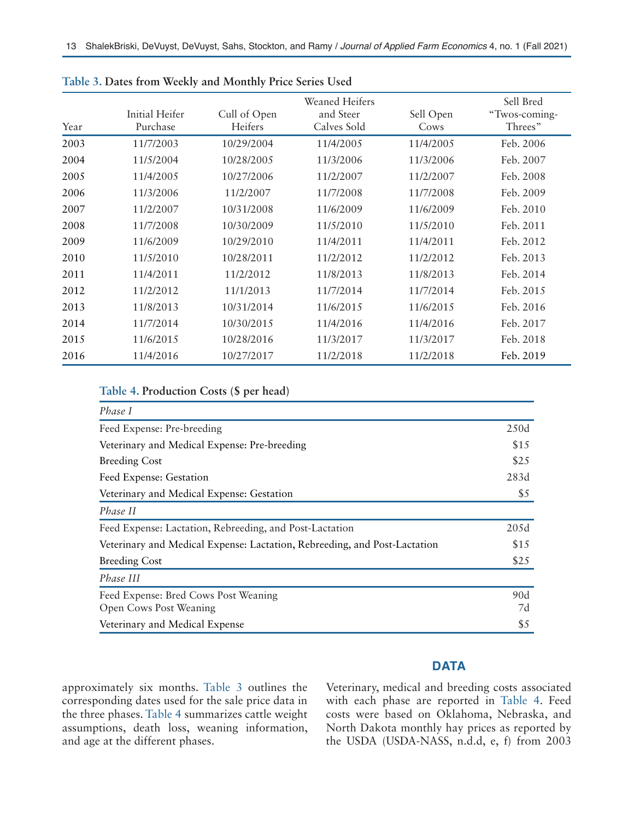| Year | <b>Initial Heifer</b><br>Purchase | Cull of Open<br>Heifers | <b>Weaned Heifers</b><br>and Steer<br>Calves Sold | Sell Open<br>Cows | Sell Bred<br>"Twos-coming-<br>Threes" |
|------|-----------------------------------|-------------------------|---------------------------------------------------|-------------------|---------------------------------------|
| 2003 | 11/7/2003                         | 10/29/2004              | 11/4/2005                                         | 11/4/2005         | Feb. 2006                             |
| 2004 | 11/5/2004                         | 10/28/2005              | 11/3/2006                                         | 11/3/2006         | Feb. 2007                             |
| 2005 | 11/4/2005                         | 10/27/2006              | 11/2/2007                                         | 11/2/2007         | Feb. 2008                             |
| 2006 | 11/3/2006                         | 11/2/2007               | 11/7/2008                                         | 11/7/2008         | Feb. 2009                             |
| 2007 | 11/2/2007                         | 10/31/2008              | 11/6/2009                                         | 11/6/2009         | Feb. 2010                             |
| 2008 | 11/7/2008                         | 10/30/2009              | 11/5/2010                                         | 11/5/2010         | Feb. 2011                             |
| 2009 | 11/6/2009                         | 10/29/2010              | 11/4/2011                                         | 11/4/2011         | Feb. 2012                             |
| 2010 | 11/5/2010                         | 10/28/2011              | 11/2/2012                                         | 11/2/2012         | Feb. 2013                             |
| 2011 | 11/4/2011                         | 11/2/2012               | 11/8/2013                                         | 11/8/2013         | Feb. 2014                             |
| 2012 | 11/2/2012                         | 11/1/2013               | 11/7/2014                                         | 11/7/2014         | Feb. 2015                             |
| 2013 | 11/8/2013                         | 10/31/2014              | 11/6/2015                                         | 11/6/2015         | Feb. 2016                             |
| 2014 | 11/7/2014                         | 10/30/2015              | 11/4/2016                                         | 11/4/2016         | Feb. 2017                             |
| 2015 | 11/6/2015                         | 10/28/2016              | 11/3/2017                                         | 11/3/2017         | Feb. 2018                             |
| 2016 | 11/4/2016                         | 10/27/2017              | 11/2/2018                                         | 11/2/2018         | Feb. 2019                             |

|  |  |  |  | Table 3. Dates from Weekly and Monthly Price Series Used |  |  |  |
|--|--|--|--|----------------------------------------------------------|--|--|--|
|--|--|--|--|----------------------------------------------------------|--|--|--|

# **Table 4. Production Costs (\$ per head)**

| Phase I                                                                   |      |
|---------------------------------------------------------------------------|------|
| Feed Expense: Pre-breeding                                                | 250d |
| Veterinary and Medical Expense: Pre-breeding                              | \$15 |
| <b>Breeding Cost</b>                                                      | \$25 |
| Feed Expense: Gestation                                                   | 283d |
| Veterinary and Medical Expense: Gestation                                 | \$5  |
| Phase II                                                                  |      |
| Feed Expense: Lactation, Rebreeding, and Post-Lactation                   | 205d |
| Veterinary and Medical Expense: Lactation, Rebreeding, and Post-Lactation | \$15 |
| <b>Breeding Cost</b>                                                      | \$25 |
| Phase III                                                                 |      |
| Feed Expense: Bred Cows Post Weaning                                      | 90d  |
| Open Cows Post Weaning                                                    | 7d   |
| Veterinary and Medical Expense                                            | \$5  |

# **DATA**

approximately six months. Table 3 outlines the corresponding dates used for the sale price data in the three phases. Table 4 summarizes cattle weight assumptions, death loss, weaning information, and age at the different phases.

Veterinary, medical and breeding costs associated with each phase are reported in Table 4. Feed costs were based on Oklahoma, Nebraska, and North Dakota monthly hay prices as reported by the USDA (USDA-NASS, n.d.d, e, f) from 2003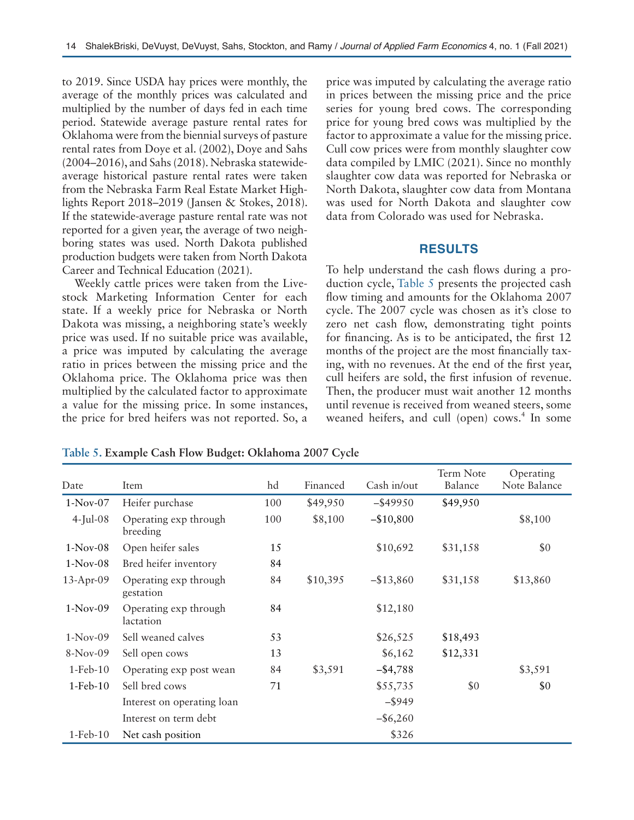to 2019. Since USDA hay prices were monthly, the average of the monthly prices was calculated and multiplied by the number of days fed in each time period. Statewide average pasture rental rates for Oklahoma were from the biennial surveys of pasture rental rates from Doye et al. (2002), Doye and Sahs (2004–2016), and Sahs (2018). Nebraska statewideaverage historical pasture rental rates were taken from the Nebraska Farm Real Estate Market Highlights Report 2018–2019 (Jansen & Stokes, 2018). If the statewide-average pasture rental rate was not reported for a given year, the average of two neighboring states was used. North Dakota published production budgets were taken from North Dakota Career and Technical Education (2021).

Weekly cattle prices were taken from the Livestock Marketing Information Center for each state. If a weekly price for Nebraska or North Dakota was missing, a neighboring state's weekly price was used. If no suitable price was available, a price was imputed by calculating the average ratio in prices between the missing price and the Oklahoma price. The Oklahoma price was then multiplied by the calculated factor to approximate a value for the missing price. In some instances, the price for bred heifers was not reported. So, a

price was imputed by calculating the average ratio in prices between the missing price and the price series for young bred cows. The corresponding price for young bred cows was multiplied by the factor to approximate a value for the missing price. Cull cow prices were from monthly slaughter cow data compiled by LMIC (2021). Since no monthly slaughter cow data was reported for Nebraska or North Dakota, slaughter cow data from Montana was used for North Dakota and slaughter cow data from Colorado was used for Nebraska.

## **RESULTS**

To help understand the cash flows during a production cycle, Table 5 presents the projected cash flow timing and amounts for the Oklahoma 2007 cycle. The 2007 cycle was chosen as it's close to zero net cash flow, demonstrating tight points for financing. As is to be anticipated, the first 12 months of the project are the most financially taxing, with no revenues. At the end of the first year, cull heifers are sold, the first infusion of revenue. Then, the producer must wait another 12 months until revenue is received from weaned steers, some weaned heifers, and cull (open) cows.<sup>4</sup> In some

| Date        | Item                               | hd  | Financed | Cash in/out  | Term Note<br>Balance | Operating<br>Note Balance |
|-------------|------------------------------------|-----|----------|--------------|----------------------|---------------------------|
| $1-Nov-07$  | Heifer purchase                    | 100 | \$49,950 | $-$ \$49950  | \$49,950             |                           |
| $4$ -Jul-08 | Operating exp through<br>breeding  | 100 | \$8,100  | $-$10,800$   |                      | \$8,100                   |
| $1-Nov-08$  | Open heifer sales                  | 15  |          | \$10,692     | \$31,158             | \$0                       |
| $1-Nov-08$  | Bred heifer inventory              | 84  |          |              |                      |                           |
| $13-Apr-09$ | Operating exp through<br>gestation | 84  | \$10,395 | $-$ \$13,860 | \$31,158             | \$13,860                  |
| $1-Nov-09$  | Operating exp through<br>lactation | 84  |          | \$12,180     |                      |                           |
| $1-Nov-09$  | Sell weaned calves                 | 53  |          | \$26,525     | \$18,493             |                           |
| 8-Nov-09    | Sell open cows                     | 13  |          | \$6,162      | \$12,331             |                           |
| $1-Feb-10$  | Operating exp post wean            | 84  | \$3,591  | $-$ \$4,788  |                      | \$3,591                   |
| 1-Feb-10    | Sell bred cows                     | 71  |          | \$55,735     | \$0                  | \$0                       |
|             | Interest on operating loan         |     |          | $-$ \$949    |                      |                           |
|             | Interest on term debt              |     |          | $-$ \$6,260  |                      |                           |
| 1-Feb-10    | Net cash position                  |     |          | \$326        |                      |                           |

**Table 5. Example Cash Flow Budget: Oklahoma 2007 Cycle**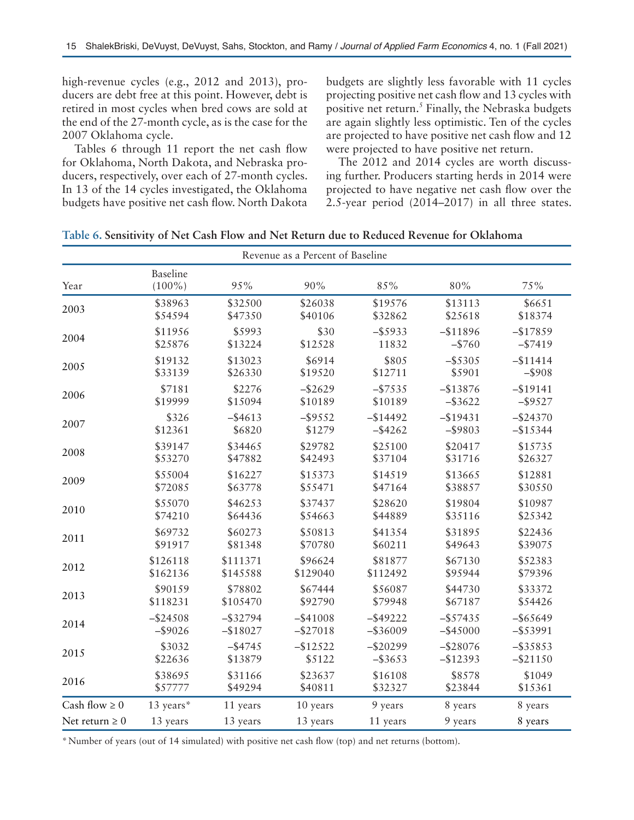high-revenue cycles (e.g., 2012 and 2013), producers are debt free at this point. However, debt is retired in most cycles when bred cows are sold at the end of the 27-month cycle, as is the case for the 2007 Oklahoma cycle.

Tables 6 through 11 report the net cash flow for Oklahoma, North Dakota, and Nebraska producers, respectively, over each of 27-month cycles. In 13 of the 14 cycles investigated, the Oklahoma budgets have positive net cash flow. North Dakota budgets are slightly less favorable with 11 cycles projecting positive net cash flow and 13 cycles with positive net return.<sup>5</sup> Finally, the Nebraska budgets are again slightly less optimistic. Ten of the cycles are projected to have positive net cash flow and 12 were projected to have positive net return.

The 2012 and 2014 cycles are worth discussing further. Producers starting herds in 2014 were projected to have negative net cash flow over the 2.5-year period (2014–2017) in all three states.

| Table 6. Sensitivity of Net Cash Flow and Net Return due to Reduced Revenue for Oklahoma |
|------------------------------------------------------------------------------------------|
|------------------------------------------------------------------------------------------|

| Revenue as a Percent of Baseline |                              |             |             |             |             |             |  |
|----------------------------------|------------------------------|-------------|-------------|-------------|-------------|-------------|--|
| Year                             | <b>Baseline</b><br>$(100\%)$ | 95%         | 90%         | 85%         | 80%         | 75%         |  |
| 2003                             | \$38963                      | \$32500     | \$26038     | \$19576     | \$13113     | \$6651      |  |
|                                  | \$54594                      | \$47350     | \$40106     | \$32862     | \$25618     | \$18374     |  |
| 2004                             | \$11956                      | \$5993      | \$30        | $-$ \$5933  | $-$11896$   | $-$17859$   |  |
|                                  | \$25876                      | \$13224     | \$12528     | 11832       | $-$ \$760   | $-$ \$7419  |  |
| 2005                             | \$19132                      | \$13023     | \$6914      | \$805       | $-$ \$5305  | $-$11414$   |  |
|                                  | \$33139                      | \$26330     | \$19520     | \$12711     | \$5901      | $-$ \$908   |  |
| 2006                             | \$7181                       | \$2276      | $-$ \$2629  | $-$ \$7535  | $-$13876$   | $-$ \$19141 |  |
|                                  | \$19999                      | \$15094     | \$10189     | \$10189     | $-$ \$3622  | $-$ \$9527  |  |
| 2007                             | \$326                        | $-$ \$4613  | $-$ \$9552  | $-$ \$14492 | $-$19431$   | $-$ \$24370 |  |
|                                  | \$12361                      | \$6820      | \$1279      | $-$ \$4262  | $-$ \$9803  | $-$15344$   |  |
| 2008                             | \$39147                      | \$34465     | \$29782     | \$25100     | \$20417     | \$15735     |  |
|                                  | \$53270                      | \$47882     | \$42493     | \$37104     | \$31716     | \$26327     |  |
| 2009                             | \$55004                      | \$16227     | \$15373     | \$14519     | \$13665     | \$12881     |  |
|                                  | \$72085                      | \$63778     | \$55471     | \$47164     | \$38857     | \$30550     |  |
| 2010                             | \$55070                      | \$46253     | \$37437     | \$28620     | \$19804     | \$10987     |  |
|                                  | \$74210                      | \$64436     | \$54663     | \$44889     | \$35116     | \$25342     |  |
| 2011                             | \$69732                      | \$60273     | \$50813     | \$41354     | \$31895     | \$22436     |  |
|                                  | \$91917                      | \$81348     | \$70780     | \$60211     | \$49643     | \$39075     |  |
| 2012                             | \$126118                     | \$111371    | \$96624     | \$81877     | \$67130     | \$52383     |  |
|                                  | \$162136                     | \$145588    | \$129040    | \$112492    | \$95944     | \$79396     |  |
| 2013                             | \$90159                      | \$78802     | \$67444     | \$56087     | \$44730     | \$33372     |  |
|                                  | \$118231                     | \$105470    | \$92790     | \$79948     | \$67187     | \$54426     |  |
| 2014                             | $-$ \$24508                  | $-$ \$32794 | $-$ \$41008 | $-$ \$49222 | $-$ \$57435 | $-$ \$65649 |  |
|                                  | $-$ \$9026                   | $-$18027$   | $-$ \$27018 | $-$ \$36009 | $-$ \$45000 | $-$ \$53991 |  |
| 2015                             | \$3032                       | $-$ \$4745  | $-$12522$   | $-$20299$   | $-$ \$28076 | $-$ \$35853 |  |
|                                  | \$22636                      | \$13879     | \$5122      | $-$ \$3653  | $-$12393$   | $-$ \$21150 |  |
| 2016                             | \$38695                      | \$31166     | \$23637     | \$16108     | \$8578      | \$1049      |  |
|                                  | \$57777                      | \$49294     | \$40811     | \$32327     | \$23844     | \$15361     |  |
| Cash flow $\geq 0$               | 13 years*                    | 11 years    | 10 years    | 9 years     | 8 years     | 8 years     |  |
| Net return $\geq 0$              | 13 years                     | 13 years    | 13 years    | 11 years    | 9 years     | 8 years     |  |

\*Number of years (out of 14 simulated) with positive net cash flow (top) and net returns (bottom).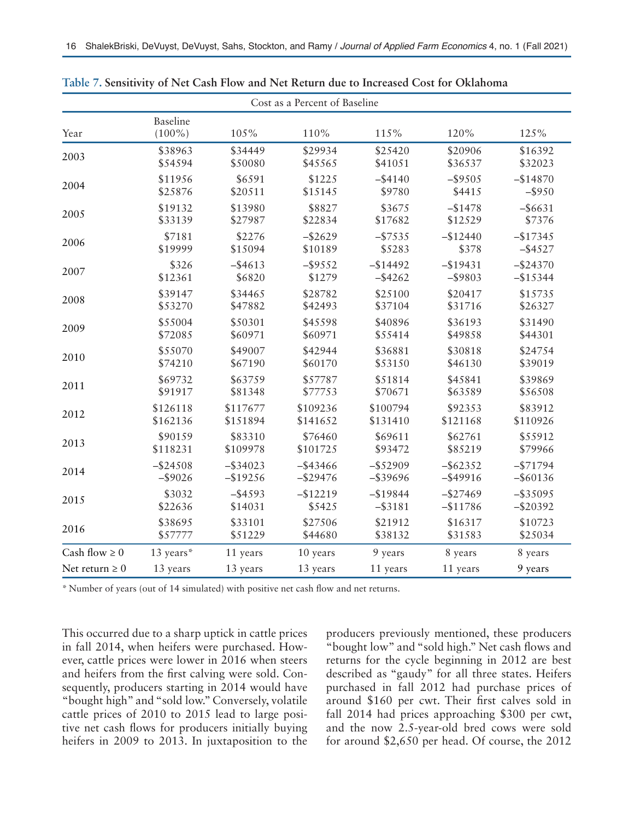| Cost as a Percent of Baseline |                              |             |             |             |             |             |  |
|-------------------------------|------------------------------|-------------|-------------|-------------|-------------|-------------|--|
| Year                          | <b>Baseline</b><br>$(100\%)$ | 105%        | 110%        | 115%        | 120%        | 125%        |  |
| 2003                          | \$38963                      | \$34449     | \$29934     | \$25420     | \$20906     | \$16392     |  |
|                               | \$54594                      | \$50080     | \$45565     | \$41051     | \$36537     | \$32023     |  |
| 2004                          | \$11956                      | \$6591      | \$1225      | $-$ \$4140  | $-$ \$9505  | $-$14870$   |  |
|                               | \$25876                      | \$20511     | \$15145     | \$9780      | \$4415      | $-$ \$950   |  |
| 2005                          | \$19132                      | \$13980     | \$8827      | \$3675      | $-$ \$1478  | $-$ \$6631  |  |
|                               | \$33139                      | \$27987     | \$22834     | \$17682     | \$12529     | \$7376      |  |
| 2006                          | \$7181                       | \$2276      | $-$ \$2629  | $-$ \$7535  | $-$12440$   | $-$17345$   |  |
|                               | \$19999                      | \$15094     | \$10189     | \$5283      | \$378       | $-$ \$4527  |  |
| 2007                          | \$326                        | $-$ \$4613  | $-$ \$9552  | $-$14492$   | $-$ \$19431 | $-$ \$24370 |  |
|                               | \$12361                      | \$6820      | \$1279      | $-$ \$4262  | $-$ \$9803  | $-$ \$15344 |  |
| 2008                          | \$39147                      | \$34465     | \$28782     | \$25100     | \$20417     | \$15735     |  |
|                               | \$53270                      | \$47882     | \$42493     | \$37104     | \$31716     | \$26327     |  |
| 2009                          | \$55004                      | \$50301     | \$45598     | \$40896     | \$36193     | \$31490     |  |
|                               | \$72085                      | \$60971     | \$60971     | \$55414     | \$49858     | \$44301     |  |
| 2010                          | \$55070                      | \$49007     | \$42944     | \$36881     | \$30818     | \$24754     |  |
|                               | \$74210                      | \$67190     | \$60170     | \$53150     | \$46130     | \$39019     |  |
| 2011                          | \$69732                      | \$63759     | \$57787     | \$51814     | \$45841     | \$39869     |  |
|                               | \$91917                      | \$81348     | \$77753     | \$70671     | \$63589     | \$56508     |  |
| 2012                          | \$126118                     | \$117677    | \$109236    | \$100794    | \$92353     | \$83912     |  |
|                               | \$162136                     | \$151894    | \$141652    | \$131410    | \$121168    | \$110926    |  |
| 2013                          | \$90159                      | \$83310     | \$76460     | \$69611     | \$62761     | \$55912     |  |
|                               | \$118231                     | \$109978    | \$101725    | \$93472     | \$85219     | \$79966     |  |
| 2014                          | $-$ \$24508                  | $-$ \$34023 | $-$ \$43466 | $-$ \$52909 | $-$ \$62352 | $-$ \$71794 |  |
|                               | $-$ \$9026                   | $-$19256$   | $-$ \$29476 | $-$ \$39696 | $-$ \$49916 | $-$ \$60136 |  |
| 2015                          | \$3032                       | $-$ \$4593  | $-$12219$   | $-$ \$19844 | $-$ \$27469 | $-$ \$35095 |  |
|                               | \$22636                      | \$14031     | \$5425      | $-$ \$3181  | $-$11786$   | $-$20392$   |  |
| 2016                          | \$38695                      | \$33101     | \$27506     | \$21912     | \$16317     | \$10723     |  |
|                               | \$57777                      | \$51229     | \$44680     | \$38132     | \$31583     | \$25034     |  |
| Cash flow $\geq 0$            | 13 years*                    | 11 years    | 10 years    | 9 years     | 8 years     | 8 years     |  |
| Net return $\geq 0$           | 13 years                     | 13 years    | 13 years    | 11 years    | 11 years    | 9 years     |  |

**Table 7. Sensitivity of Net Cash Flow and Net Return due to Increased Cost for Oklahoma**

\* Number of years (out of 14 simulated) with positive net cash flow and net returns.

This occurred due to a sharp uptick in cattle prices in fall 2014, when heifers were purchased. However, cattle prices were lower in 2016 when steers and heifers from the first calving were sold. Consequently, producers starting in 2014 would have "bought high" and "sold low." Conversely, volatile cattle prices of 2010 to 2015 lead to large positive net cash flows for producers initially buying heifers in 2009 to 2013. In juxtaposition to the producers previously mentioned, these producers "bought low" and "sold high." Net cash flows and returns for the cycle beginning in 2012 are best described as "gaudy" for all three states. Heifers purchased in fall 2012 had purchase prices of around \$160 per cwt. Their first calves sold in fall 2014 had prices approaching \$300 per cwt, and the now 2.5-year-old bred cows were sold for around \$2,650 per head. Of course, the 2012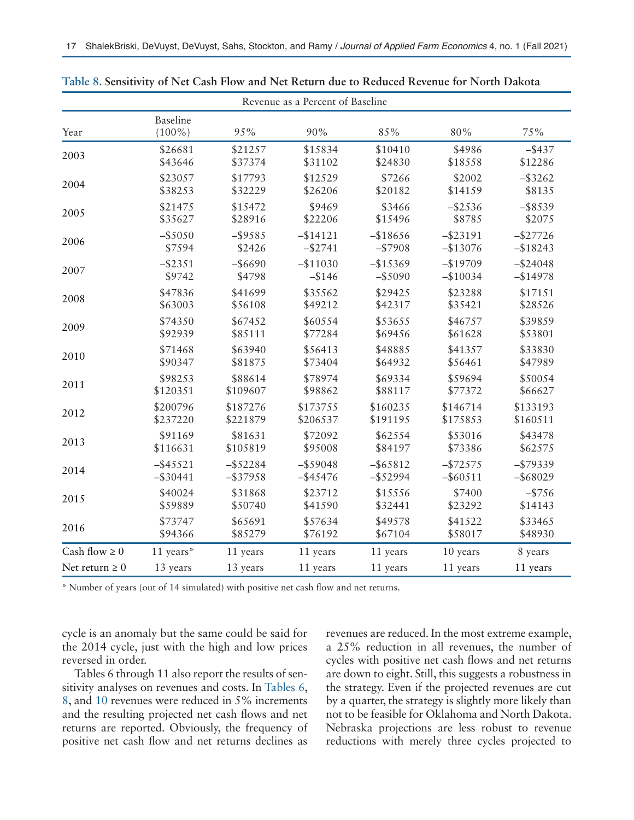| Revenue as a Percent of Baseline |                              |             |             |             |             |             |  |
|----------------------------------|------------------------------|-------------|-------------|-------------|-------------|-------------|--|
| Year                             | <b>Baseline</b><br>$(100\%)$ | 95%         | 90%         | 85%         | 80%         | 75%         |  |
| 2003                             | \$26681                      | \$21257     | \$15834     | \$10410     | \$4986      | $-$ \$437   |  |
|                                  | \$43646                      | \$37374     | \$31102     | \$24830     | \$18558     | \$12286     |  |
| 2004                             | \$23057                      | \$17793     | \$12529     | \$7266      | \$2002      | $-$ \$3262  |  |
|                                  | \$38253                      | \$32229     | \$26206     | \$20182     | \$14159     | \$8135      |  |
| 2005                             | \$21475                      | \$15472     | \$9469      | \$3466      | $-$ \$2536  | $-$ \$8539  |  |
|                                  | \$35627                      | \$28916     | \$22206     | \$15496     | \$8785      | \$2075      |  |
| 2006                             | $-$ \$5050                   | $-$ \$9585  | $-$14121$   | $-$18656$   | $-$ \$23191 | $-$27726$   |  |
|                                  | \$7594                       | \$2426      | $-$ \$2741  | $-$ \$7908  | $-$13076$   | $-$18243$   |  |
| 2007                             | $-$ \$2351                   | $-$ \$6690  | $-$11030$   | $-$ \$15369 | $-$19709$   | $-$ \$24048 |  |
|                                  | \$9742                       | \$4798      | $-$146$     | $-$ \$5090  | $-$10034$   | $-$14978$   |  |
| 2008                             | \$47836                      | \$41699     | \$35562     | \$29425     | \$23288     | \$17151     |  |
|                                  | \$63003                      | \$56108     | \$49212     | \$42317     | \$35421     | \$28526     |  |
| 2009                             | \$74350                      | \$67452     | \$60554     | \$53655     | \$46757     | \$39859     |  |
|                                  | \$92939                      | \$85111     | \$77284     | \$69456     | \$61628     | \$53801     |  |
| 2010                             | \$71468                      | \$63940     | \$56413     | \$48885     | \$41357     | \$33830     |  |
|                                  | \$90347                      | \$81875     | \$73404     | \$64932     | \$56461     | \$47989     |  |
| 2011                             | \$98253                      | \$88614     | \$78974     | \$69334     | \$59694     | \$50054     |  |
|                                  | \$120351                     | \$109607    | \$98862     | \$88117     | \$77372     | \$66627     |  |
| 2012                             | \$200796                     | \$187276    | \$173755    | \$160235    | \$146714    | \$133193    |  |
|                                  | \$237220                     | \$221879    | \$206537    | \$191195    | \$175853    | \$160511    |  |
| 2013                             | \$91169                      | \$81631     | \$72092     | \$62554     | \$53016     | \$43478     |  |
|                                  | \$116631                     | \$105819    | \$95008     | \$84197     | \$73386     | \$62575     |  |
| 2014                             | $-$ \$45521                  | $-$ \$52284 | $-$ \$59048 | $-$ \$65812 | $-$72575$   | $-$ \$79339 |  |
|                                  | $-$ \$30441                  | $-$ \$37958 | $-$ \$45476 | $-$ \$52994 | $-$ \$60511 | $-$ \$68029 |  |
| 2015                             | \$40024                      | \$31868     | \$23712     | \$15556     | \$7400      | $-$ \$756   |  |
|                                  | \$59889                      | \$50740     | \$41590     | \$32441     | \$23292     | \$14143     |  |
| 2016                             | \$73747                      | \$65691     | \$57634     | \$49578     | \$41522     | \$33465     |  |
|                                  | \$94366                      | \$85279     | \$76192     | \$67104     | \$58017     | \$48930     |  |
| Cash flow $\geq 0$               | 11 years*                    | 11 years    | 11 years    | 11 years    | 10 years    | 8 years     |  |
| Net return $\geq 0$              | 13 years                     | 13 years    | 11 years    | 11 years    | 11 years    | 11 years    |  |

**Table 8. Sensitivity of Net Cash Flow and Net Return due to Reduced Revenue for North Dakota**

\* Number of years (out of 14 simulated) with positive net cash flow and net returns.

cycle is an anomaly but the same could be said for the 2014 cycle, just with the high and low prices reversed in order.

Tables 6 through 11 also report the results of sensitivity analyses on revenues and costs. In Tables 6, 8, and 10 revenues were reduced in 5% increments and the resulting projected net cash flows and net returns are reported. Obviously, the frequency of positive net cash flow and net returns declines as revenues are reduced. In the most extreme example, a 25% reduction in all revenues, the number of cycles with positive net cash flows and net returns are down to eight. Still, this suggests a robustness in the strategy. Even if the projected revenues are cut by a quarter, the strategy is slightly more likely than not to be feasible for Oklahoma and North Dakota. Nebraska projections are less robust to revenue reductions with merely three cycles projected to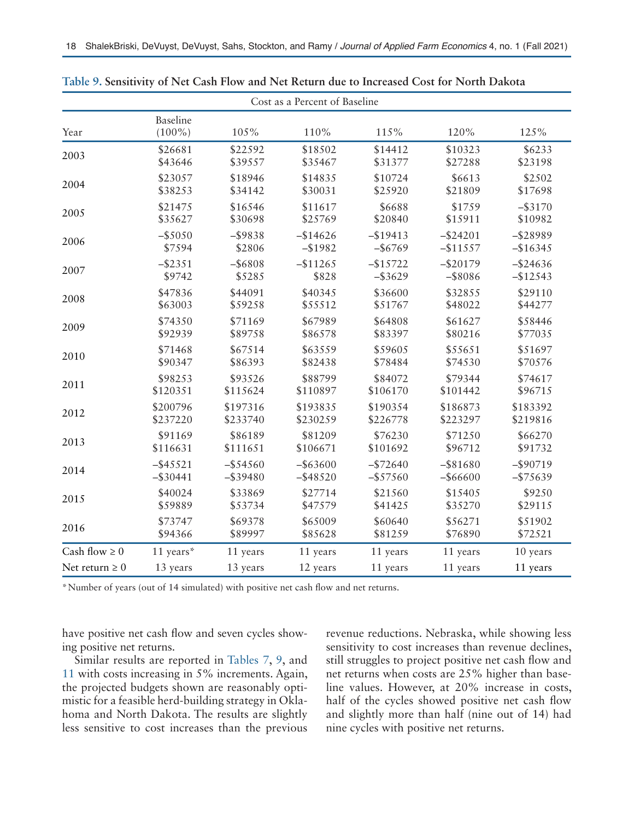| Cost as a Percent of Baseline |                              |             |             |             |             |             |  |
|-------------------------------|------------------------------|-------------|-------------|-------------|-------------|-------------|--|
| Year                          | <b>Baseline</b><br>$(100\%)$ | 105%        | 110%        | 115%        | 120%        | 125%        |  |
| 2003                          | \$26681                      | \$22592     | \$18502     | \$14412     | \$10323     | \$6233      |  |
|                               | \$43646                      | \$39557     | \$35467     | \$31377     | \$27288     | \$23198     |  |
| 2004                          | \$23057                      | \$18946     | \$14835     | \$10724     | \$6613      | \$2502      |  |
|                               | \$38253                      | \$34142     | \$30031     | \$25920     | \$21809     | \$17698     |  |
| 2005                          | \$21475                      | \$16546     | \$11617     | \$6688      | \$1759      | $-$ \$3170  |  |
|                               | \$35627                      | \$30698     | \$25769     | \$20840     | \$15911     | \$10982     |  |
| 2006                          | $-$ \$5050                   | $-$ \$9838  | $-$14626$   | $-$19413$   | $-$ \$24201 | $-$ \$28989 |  |
|                               | \$7594                       | \$2806      | $-$1982$    | $-$ \$6769  | $-$11557$   | $-$16345$   |  |
| 2007                          | $-$ \$2351                   | $-$ \$6808  | $-$11265$   | $-$15722$   | $-$ \$20179 | $-$ \$24636 |  |
|                               | \$9742                       | \$5285      | \$828       | $-$ \$3629  | $-$ \$8086  | $-$12543$   |  |
| 2008                          | \$47836                      | \$44091     | \$40345     | \$36600     | \$32855     | \$29110     |  |
|                               | \$63003                      | \$59258     | \$55512     | \$51767     | \$48022     | \$44277     |  |
| 2009                          | \$74350                      | \$71169     | \$67989     | \$64808     | \$61627     | \$58446     |  |
|                               | \$92939                      | \$89758     | \$86578     | \$83397     | \$80216     | \$77035     |  |
| 2010                          | \$71468                      | \$67514     | \$63559     | \$59605     | \$55651     | \$51697     |  |
|                               | \$90347                      | \$86393     | \$82438     | \$78484     | \$74530     | \$70576     |  |
| 2011                          | \$98253                      | \$93526     | \$88799     | \$84072     | \$79344     | \$74617     |  |
|                               | \$120351                     | \$115624    | \$110897    | \$106170    | \$101442    | \$96715     |  |
| 2012                          | \$200796                     | \$197316    | \$193835    | \$190354    | \$186873    | \$183392    |  |
|                               | \$237220                     | \$233740    | \$230259    | \$226778    | \$223297    | \$219816    |  |
| 2013                          | \$91169                      | \$86189     | \$81209     | \$76230     | \$71250     | \$66270     |  |
|                               | \$116631                     | \$111651    | \$106671    | \$101692    | \$96712     | \$91732     |  |
| 2014                          | $-$ \$45521                  | $-$ \$54560 | $-$ \$63600 | $-$ \$72640 | $-$ \$81680 | $-$ \$90719 |  |
|                               | $-$ \$30441                  | $-$ \$39480 | $-$ \$48520 | $-$ \$57560 | $-$ \$66600 | $-$ \$75639 |  |
| 2015                          | \$40024                      | \$33869     | \$27714     | \$21560     | \$15405     | \$9250      |  |
|                               | \$59889                      | \$53734     | \$47579     | \$41425     | \$35270     | \$29115     |  |
| 2016                          | \$73747                      | \$69378     | \$65009     | \$60640     | \$56271     | \$51902     |  |
|                               | \$94366                      | \$89997     | \$85628     | \$81259     | \$76890     | \$72521     |  |
| Cash flow $\geq 0$            | 11 years*                    | 11 years    | 11 years    | 11 years    | 11 years    | 10 years    |  |
| Net return $\geq 0$           | 13 years                     | 13 years    | 12 years    | 11 years    | 11 years    | 11 years    |  |

**Table 9. Sensitivity of Net Cash Flow and Net Return due to Increased Cost for North Dakota**

\*Number of years (out of 14 simulated) with positive net cash flow and net returns.

have positive net cash flow and seven cycles showing positive net returns.

Similar results are reported in Tables 7, 9, and 11 with costs increasing in 5% increments. Again, the projected budgets shown are reasonably optimistic for a feasible herd-building strategy in Oklahoma and North Dakota. The results are slightly less sensitive to cost increases than the previous revenue reductions. Nebraska, while showing less sensitivity to cost increases than revenue declines, still struggles to project positive net cash flow and net returns when costs are 25% higher than baseline values. However, at 20% increase in costs, half of the cycles showed positive net cash flow and slightly more than half (nine out of 14) had nine cycles with positive net returns.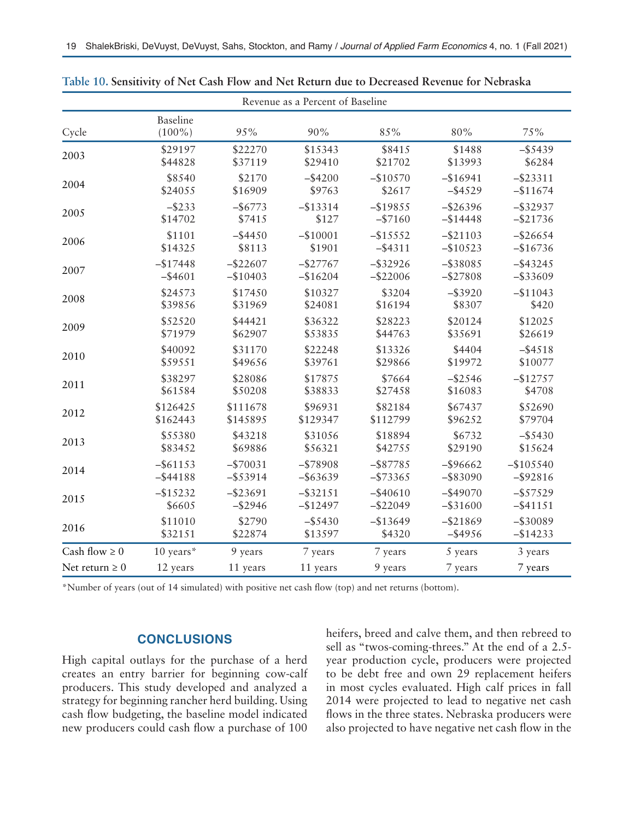| Revenue as a Percent of Baseline |                              |             |             |             |             |             |  |
|----------------------------------|------------------------------|-------------|-------------|-------------|-------------|-------------|--|
| Cycle                            | <b>Baseline</b><br>$(100\%)$ | 95%         | 90%         | 85%         | 80%         | 75%         |  |
| 2003                             | \$29197                      | \$22270     | \$15343     | \$8415      | \$1488      | $-$ \$5439  |  |
|                                  | \$44828                      | \$37119     | \$29410     | \$21702     | \$13993     | \$6284      |  |
| 2004                             | \$8540                       | \$2170      | $-$ \$4200  | $-$10570$   | $-$16941$   | $-$ \$23311 |  |
|                                  | \$24055                      | \$16909     | \$9763      | \$2617      | $-$ \$4529  | $-$11674$   |  |
| 2005                             | $-$ \$233                    | $-$ \$6773  | $-$ \$13314 | $-$19855$   | $-$ \$26396 | $-$ \$32937 |  |
|                                  | \$14702                      | \$7415      | \$127       | $-$7160$    | $-$14448$   | $-$ \$21736 |  |
| 2006                             | \$1101                       | $-$ \$4450  | $-$10001$   | $-$15552$   | $-$ \$21103 | $-$ \$26654 |  |
|                                  | \$14325                      | \$8113      | \$1901      | $-$ \$4311  | $-$10523$   | $-$16736$   |  |
| 2007                             | $-$17448$                    | $-$ \$22607 | $-$27767$   | $-$ \$32926 | $-$ \$38085 | $-$ \$43245 |  |
|                                  | $-$ \$4601                   | $-$10403$   | $-$16204$   | $-$22006$   | $-$ \$27808 | $-$ \$33609 |  |
| 2008                             | \$24573                      | \$17450     | \$10327     | \$3204      | $-$ \$3920  | $-$11043$   |  |
|                                  | \$39856                      | \$31969     | \$24081     | \$16194     | \$8307      | \$420       |  |
| 2009                             | \$52520                      | \$44421     | \$36322     | \$28223     | \$20124     | \$12025     |  |
|                                  | \$71979                      | \$62907     | \$53835     | \$44763     | \$35691     | \$26619     |  |
| 2010                             | \$40092                      | \$31170     | \$22248     | \$13326     | \$4404      | $-$ \$4518  |  |
|                                  | \$59551                      | \$49656     | \$39761     | \$29866     | \$19972     | \$10077     |  |
| 2011                             | \$38297                      | \$28086     | \$17875     | \$7664      | $-$ \$2546  | $-$12757$   |  |
|                                  | \$61584                      | \$50208     | \$38833     | \$27458     | \$16083     | \$4708      |  |
| 2012                             | \$126425                     | \$111678    | \$96931     | \$82184     | \$67437     | \$52690     |  |
|                                  | \$162443                     | \$145895    | \$129347    | \$112799    | \$96252     | \$79704     |  |
| 2013                             | \$55380                      | \$43218     | \$31056     | \$18894     | \$6732      | $-$ \$5430  |  |
|                                  | \$83452                      | \$69886     | \$56321     | \$42755     | \$29190     | \$15624     |  |
| 2014                             | $-$ \$61153                  | $-$ \$70031 | $-$ \$78908 | $-$ \$87785 | $-$ \$96662 | $-$105540$  |  |
|                                  | $-$ \$44188                  | $-$ \$53914 | $-$ \$63639 | $-$73365$   | $-$ \$83090 | $-$ \$92816 |  |
| 2015                             | $-$15232$                    | $-$ \$23691 | $-$ \$32151 | $-$ \$40610 | $-$ \$49070 | $-$ \$57529 |  |
|                                  | \$6605                       | $-$ \$2946  | $-$12497$   | $-$ \$22049 | $-$ \$31600 | $-$ \$41151 |  |
| 2016                             | \$11010                      | \$2790      | $-$ \$5430  | $-$13649$   | $-$ \$21869 | $-$ \$30089 |  |
|                                  | \$32151                      | \$22874     | \$13597     | \$4320      | $-$ \$4956  | $-$ \$14233 |  |
| Cash flow $\geq 0$               | 10 years*                    | 9 years     | 7 years     | 7 years     | 5 years     | 3 years     |  |
| Net return $\geq 0$              | 12 years                     | 11 years    | 11 years    | 9 years     | 7 years     | 7 years     |  |

**Table 10. Sensitivity of Net Cash Flow and Net Return due to Decreased Revenue for Nebraska**

\*Number of years (out of 14 simulated) with positive net cash flow (top) and net returns (bottom).

#### **CONCLUSIONS**

High capital outlays for the purchase of a herd creates an entry barrier for beginning cow-calf producers. This study developed and analyzed a strategy for beginning rancher herd building. Using cash flow budgeting, the baseline model indicated new producers could cash flow a purchase of 100 heifers, breed and calve them, and then rebreed to sell as "twos-coming-threes." At the end of a 2.5 year production cycle, producers were projected to be debt free and own 29 replacement heifers in most cycles evaluated. High calf prices in fall 2014 were projected to lead to negative net cash flows in the three states. Nebraska producers were also projected to have negative net cash flow in the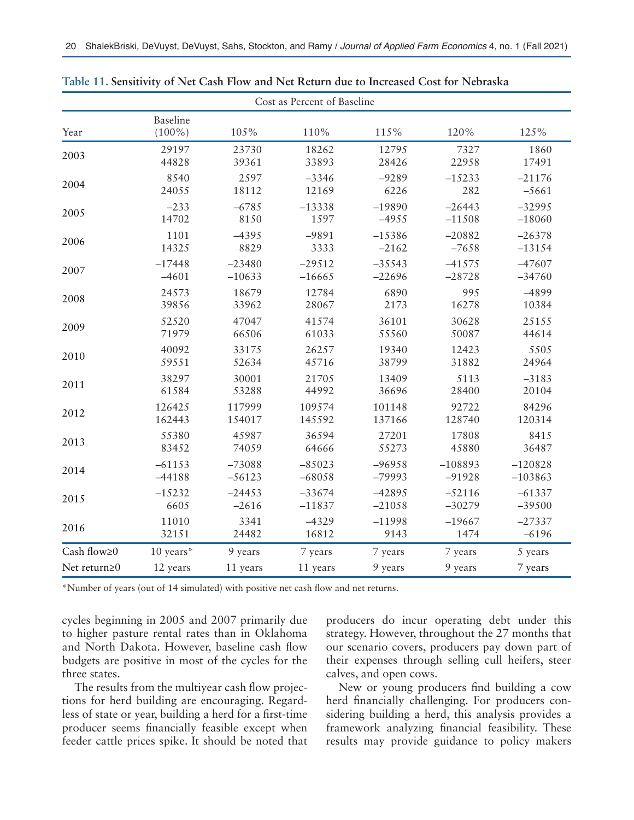| Cost as Percent of Baseline |                              |          |          |          |           |           |
|-----------------------------|------------------------------|----------|----------|----------|-----------|-----------|
| Year                        | <b>Baseline</b><br>$(100\%)$ | 105%     | 110%     | 115%     | 120%      | 125%      |
| 2003                        | 29197                        | 23730    | 18262    | 12795    | 7327      | 1860      |
|                             | 44828                        | 39361    | 33893    | 28426    | 22958     | 17491     |
| 2004                        | 8540                         | 2597     | $-3346$  | $-9289$  | $-15233$  | $-21176$  |
|                             | 24055                        | 18112    | 12169    | 6226     | 282       | $-5661$   |
| 2005                        | $-233$                       | $-6785$  | $-13338$ | $-19890$ | $-26443$  | $-32995$  |
|                             | 14702                        | 8150     | 1597     | $-4955$  | $-11508$  | $-18060$  |
| 2006                        | 1101                         | $-4395$  | $-9891$  | $-15386$ | $-20882$  | $-26378$  |
|                             | 14325                        | 8829     | 3333     | $-2162$  | $-7658$   | $-13154$  |
| 2007                        | $-17448$                     | $-23480$ | $-29512$ | $-35543$ | $-41575$  | $-47607$  |
|                             | $-4601$                      | $-10633$ | $-16665$ | $-22696$ | $-28728$  | $-34760$  |
| 2008                        | 24573                        | 18679    | 12784    | 6890     | 995       | $-4899$   |
|                             | 39856                        | 33962    | 28067    | 2173     | 16278     | 10384     |
| 2009                        | 52520                        | 47047    | 41574    | 36101    | 30628     | 25155     |
|                             | 71979                        | 66506    | 61033    | 55560    | 50087     | 44614     |
| 2010                        | 40092                        | 33175    | 26257    | 19340    | 12423     | 5505      |
|                             | 59551                        | 52634    | 45716    | 38799    | 31882     | 24964     |
| 2011                        | 38297                        | 30001    | 21705    | 13409    | 5113      | $-3183$   |
|                             | 61584                        | 53288    | 44992    | 36696    | 28400     | 20104     |
| 2012                        | 126425                       | 117999   | 109574   | 101148   | 92722     | 84296     |
|                             | 162443                       | 154017   | 145592   | 137166   | 128740    | 120314    |
| 2013                        | 55380                        | 45987    | 36594    | 27201    | 17808     | 8415      |
|                             | 83452                        | 74059    | 64666    | 55273    | 45880     | 36487     |
| 2014                        | $-61153$                     | $-73088$ | $-85023$ | $-96958$ | $-108893$ | $-120828$ |
|                             | $-44188$                     | $-56123$ | $-68058$ | $-79993$ | $-91928$  | $-103863$ |
| 2015                        | $-15232$                     | $-24453$ | $-33674$ | $-42895$ | $-52116$  | $-61337$  |
|                             | 6605                         | $-2616$  | $-11837$ | $-21058$ | $-30279$  | $-39500$  |
| 2016                        | 11010                        | 3341     | $-4329$  | $-11998$ | $-19667$  | $-27337$  |
|                             | 32151                        | 24482    | 16812    | 9143     | 1474      | $-6196$   |
| Cash flow $\geq$ 0          | 10 years*                    | 9 years  | 7 years  | 7 years  | 7 years   | 5 years   |
| Net return $\geq$ 0         | 12 years                     | 11 years | 11 years | 9 years  | 9 years   | 7 years   |

**Table 11. Sensitivity of Net Cash Flow and Net Return due to Increased Cost for Nebraska**

\*Number of years (out of 14 simulated) with positive net cash flow and net returns.

cycles beginning in 2005 and 2007 primarily due to higher pasture rental rates than in Oklahoma and North Dakota. However, baseline cash flow budgets are positive in most of the cycles for the three states.

The results from the multiyear cash flow projections for herd building are encouraging. Regardless of state or year, building a herd for a first-time producer seems financially feasible except when feeder cattle prices spike. It should be noted that producers do incur operating debt under this strategy. However, throughout the 27 months that our scenario covers, producers pay down part of their expenses through selling cull heifers, steer calves, and open cows.

New or young producers find building a cow herd financially challenging. For producers considering building a herd, this analysis provides a framework analyzing financial feasibility. These results may provide guidance to policy makers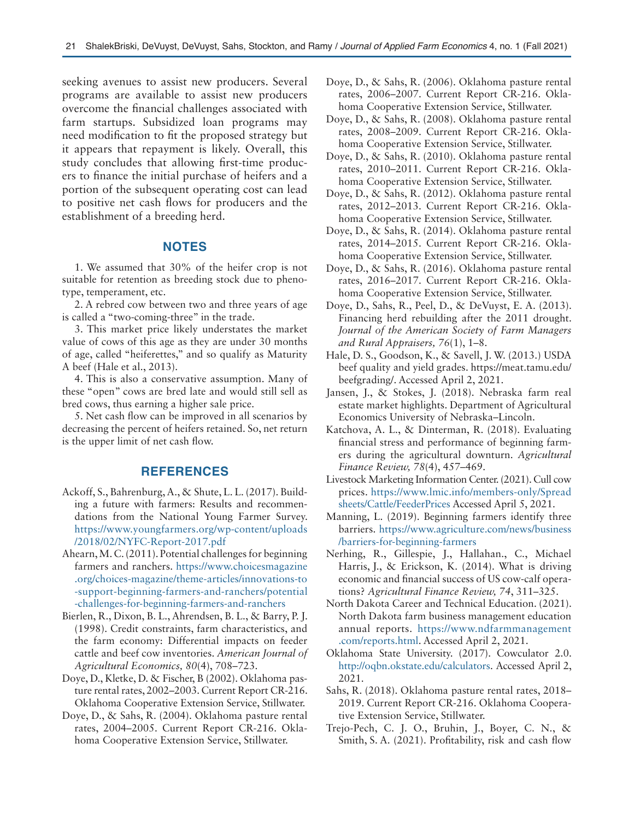seeking avenues to assist new producers. Several programs are available to assist new producers overcome the financial challenges associated with farm startups. Subsidized loan programs may need modification to fit the proposed strategy but it appears that repayment is likely. Overall, this study concludes that allowing first-time producers to finance the initial purchase of heifers and a portion of the subsequent operating cost can lead to positive net cash flows for producers and the establishment of a breeding herd.

## **NOTES**

1. We assumed that 30% of the heifer crop is not suitable for retention as breeding stock due to phenotype, temperament, etc.

2. A rebred cow between two and three years of age is called a "two-coming-three" in the trade.

3. This market price likely understates the market value of cows of this age as they are under 30 months of age, called "heiferettes," and so qualify as Maturity A beef (Hale et al., 2013).

4. This is also a conservative assumption. Many of these "open" cows are bred late and would still sell as bred cows, thus earning a higher sale price.

5. Net cash flow can be improved in all scenarios by decreasing the percent of heifers retained. So, net return is the upper limit of net cash flow.

### **REFERENCES**

- Ackoff, S., Bahrenburg, A., & Shute, L. L. (2017). Building a future with farmers: Results and recommendations from the National Young Farmer Survey. [https://www.youngfarmers.org/wp-content/uploads](https://www.youngfarmers.org/wp-content/uploads/2018/02/NYFC-Report-2017.pdf) [/2018/02/NYFC-Report-2017.pdf](https://www.youngfarmers.org/wp-content/uploads/2018/02/NYFC-Report-2017.pdf)
- Ahearn, M. C. (2011). Potential challenges for beginning farmers and ranchers. [https://www.choicesmagazine](https://www.choicesmagazine.org/choices-magazine/theme-articles/innovations-to-support-beginning-farmers-and-ranchers/potential-challenges-for-beginning-farmers-and-ranchers) [.org/choices-magazine/theme-articles/innovations-to](https://www.choicesmagazine.org/choices-magazine/theme-articles/innovations-to-support-beginning-farmers-and-ranchers/potential-challenges-for-beginning-farmers-and-ranchers) [-support-beginning-farmers-and-ranchers/potential](https://www.choicesmagazine.org/choices-magazine/theme-articles/innovations-to-support-beginning-farmers-and-ranchers/potential-challenges-for-beginning-farmers-and-ranchers) [-challenges-for-beginning-farmers-and-ranchers](https://www.choicesmagazine.org/choices-magazine/theme-articles/innovations-to-support-beginning-farmers-and-ranchers/potential-challenges-for-beginning-farmers-and-ranchers)
- Bierlen, R., Dixon, B. L., Ahrendsen, B. L., & Barry, P. J. (1998). Credit constraints, farm characteristics, and the farm economy: Differential impacts on feeder cattle and beef cow inventories. *American Journal of Agricultural Economics, 80*(4), 708–723.
- Doye, D., Kletke, D. & Fischer, B (2002). Oklahoma pasture rental rates, 2002–2003. Current Report CR-216. Oklahoma Cooperative Extension Service, Stillwater.
- Doye, D., & Sahs, R. (2004). Oklahoma pasture rental rates, 2004–2005. Current Report CR-216. Oklahoma Cooperative Extension Service, Stillwater.
- Doye, D., & Sahs, R. (2006). Oklahoma pasture rental rates, 2006–2007. Current Report CR-216. Oklahoma Cooperative Extension Service, Stillwater.
- Doye, D., & Sahs, R. (2008). Oklahoma pasture rental rates, 2008–2009. Current Report CR-216. Oklahoma Cooperative Extension Service, Stillwater.
- Doye, D., & Sahs, R. (2010). Oklahoma pasture rental rates, 2010–2011. Current Report CR-216. Oklahoma Cooperative Extension Service, Stillwater.
- Doye, D., & Sahs, R. (2012). Oklahoma pasture rental rates, 2012–2013. Current Report CR-216. Oklahoma Cooperative Extension Service, Stillwater.
- Doye, D., & Sahs, R. (2014). Oklahoma pasture rental rates, 2014–2015. Current Report CR-216. Oklahoma Cooperative Extension Service, Stillwater.
- Doye, D., & Sahs, R. (2016). Oklahoma pasture rental rates, 2016–2017. Current Report CR-216. Oklahoma Cooperative Extension Service, Stillwater.
- Doye, D., Sahs, R., Peel, D., & DeVuyst, E. A. (2013). Financing herd rebuilding after the 2011 drought. *Journal of the American Society of Farm Managers and Rural Appraisers, 76*(1), 1–8.
- Hale, D. S., Goodson, K., & Savell, J. W. (2013.) USDA beef quality and yield grades. https://meat.tamu.edu/ beefgrading/. Accessed April 2, 2021.
- Jansen, J., & Stokes, J. (2018). Nebraska farm real estate market highlights. Department of Agricultural Economics University of Nebraska–Lincoln.
- Katchova, A. L., & Dinterman, R. (2018). Evaluating financial stress and performance of beginning farmers during the agricultural downturn. *Agricultural Finance Review, 78*(4), 457–469.
- Livestock Marketing Information Center. (2021). Cull cow prices. [https://www.lmic.info/members-only/Spread](https://www.lmic.info/members-only/Spreadsheets/Cattle/FeederPrices) [sheets/Cattle/FeederPrices](https://www.lmic.info/members-only/Spreadsheets/Cattle/FeederPrices) Accessed April 5, 2021.
- Manning, L. (2019). Beginning farmers identify three barriers. [https://www.agriculture.com/news/business](https://www.agriculture.com/news/business/barriers-for-beginning-farmers) [/barriers-for-beginning-farmers](https://www.agriculture.com/news/business/barriers-for-beginning-farmers)
- Nerhing, R., Gillespie, J., Hallahan., C., Michael Harris, J., & Erickson, K. (2014). What is driving economic and financial success of US cow-calf operations? *Agricultural Finance Review, 74*, 311–325.
- North Dakota Career and Technical Education. (2021). North Dakota farm business management education annual reports. [https://www.ndfarmmanagement](https://www.ndfarmmanagement.com/reports.html) [.com/reports.html](https://www.ndfarmmanagement.com/reports.html). Accessed April 2, 2021.
- Oklahoma State University. (2017). Cowculator 2.0. [http://oqbn.okstate.edu/calculators.](http://oqbn.okstate.edu/calculators) Accessed April 2, 2021.
- Sahs, R. (2018). Oklahoma pasture rental rates, 2018– 2019. Current Report CR-216. Oklahoma Cooperative Extension Service, Stillwater.
- Trejo-Pech, C. J. O., Bruhin, J., Boyer, C. N., & Smith, S. A. (2021). Profitability, risk and cash flow